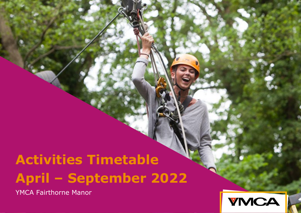# **Activities Timetable April – September 2022**

YMCA Fairthorne Manor

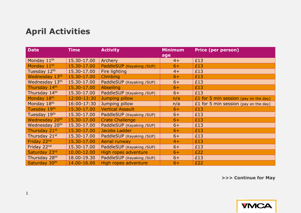# **April Activities**

| <b>Date</b>    | <b>Time</b> | <b>Activity</b>           | <b>Minimum</b> | <b>Price (per person)</b>             |
|----------------|-------------|---------------------------|----------------|---------------------------------------|
| Monday 11th    | 15.30-17.00 | Archery                   | age<br>$4+$    | £13                                   |
| Monday 11th    | 15.30-17.00 | PaddleSUP (Kayaking /SUP) | $6+$           | £13                                   |
| Tuesday 12th   | 15.30-17.00 | Fire lighting             | $4+$           | £13                                   |
| Wednesday 13th | 15.30-17.00 | Climbing                  | $6+$           | £13                                   |
| Wednesday 13th | 15.30-17.00 | PaddleSUP (Kayaking /SUP) | $6+$           | £13                                   |
| Thursday 14th  | 15.30-17.00 | <b>Abseiling</b>          | $6+$           | £13                                   |
| Thursday 14th  | 15.30-17.00 | PaddleSUP (Kayaking /SUP) | $6+$           | £13                                   |
| Monday 18th    | 12:00-13:30 | Jumping pillow            | n/a            | £1 for 5 min session (pay on the day) |
| Monday 18th    | 16:00-17:30 | Jumping pillow            | n/a            | £1 for 5 min session (pay on the day) |
| Tuesday 19th   | 15.30-17.00 | <b>Vertical Assault</b>   | $6+$           | £13                                   |
| Tuesday 19th   | 15.30-17.00 | PaddleSUP (Kayaking /SUP) | $6+$           | £13                                   |
| Wednesday 20th | 15.30-17.00 | <b>Crate Challenge</b>    | $6+$           | £13                                   |
| Wednesday 20th | 15.30-17.00 | PaddleSUP (Kayaking /SUP) | $6+$           | £13                                   |
| Thursday 21st  | 15.30-17.00 | Jacobs Ladder             | $6+$           | £13                                   |
| Thursday 21st  | 15.30-17.00 | PaddleSUP (Kayaking /SUP) | $6+$           | £13                                   |
| Friday 22nd    | 15.30-17.00 | <b>Aerial runway</b>      | $4+$           | £13                                   |
| Friday 22nd    | 15.30-17.00 | PaddleSUP (Kayaking /SUP) | $6+$           | £13                                   |
| Saturday 23rd  | 10.00-12.00 | High ropes adventure      | $6+$           | £22                                   |
| Thursday 28th  | 18.00-19.30 | PaddleSUP (Kayaking /SUP) | $6+$           | £13                                   |
| Saturday 30th  | 14.00-16.00 | High ropes adventure      | $6+$           | £22                                   |

**>>> Continue for May** 

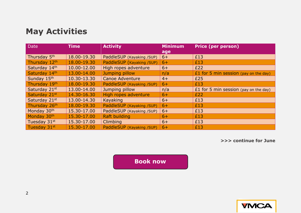## **May Activities**

| Date                     | <b>Time</b> | <b>Activity</b>           | <b>Minimum</b><br>age | <b>Price (per person)</b>             |
|--------------------------|-------------|---------------------------|-----------------------|---------------------------------------|
| Thursday 5 <sup>th</sup> | 18.00-19.30 | PaddleSUP (Kayaking /SUP) | $6+$                  | £13                                   |
| Thursday 12th            | 18.00-19.30 | PaddleSUP (Kayaking /SUP) | $6+$                  | £13                                   |
| Saturday 14th            | 10.00-12.00 | High ropes adventure      | $6+$                  | £22                                   |
| Saturday 14th            | 13.00-14.00 | Jumping pillow            | n/a                   | £1 for 5 min session (pay on the day) |
| Sunday 15th              | 10.30-13.30 | <b>Canoe Adventure</b>    | $4+$                  | £25                                   |
| Thursday 19th            | 18.00-19.30 | PaddleSUP (Kayaking /SUP) | $6+$                  | £13                                   |
| Saturday 21st            | 13.00-14.00 | Jumping pillow            | n/a                   | £1 for 5 min session (pay on the day) |
| Saturday 21st            | 14.30-16.30 | High ropes adventure      | $6+$                  | £22                                   |
| Saturday 21st            | 13.00-14.30 | <b>Kayaking</b>           | $6+$                  | £13                                   |
| Thursday 26th            | 18.00-19.30 | PaddleSUP (Kayaking /SUP) | $6+$                  | £13                                   |
| Monday 30th              | 15.30-17.00 | PaddleSUP (Kayaking /SUP) | $6+$                  | £13                                   |
| Monday 30th              | 15.30-17.00 | <b>Raft building</b>      | $6+$                  | £13                                   |
| Tuesday 31st             | 15.30-17.00 | <b>Climbing</b>           | $6+$                  | £13                                   |
| Tuesday 31st             | 15.30-17.00 | PaddleSUP (Kayaking /SUP) | $6+$                  | £13                                   |

**>>> continue for June**

**[Book now](https://shop.ymca-fg.org/)**

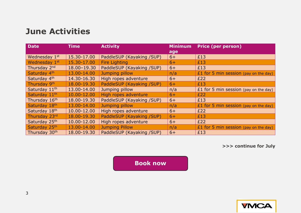#### **June Activities**

| <b>Date</b>   | <b>Time</b> | <b>Activity</b>           | <b>Minimum</b><br>age | <b>Price (per person)</b>             |
|---------------|-------------|---------------------------|-----------------------|---------------------------------------|
| Wednesday 1st | 15.30-17.00 | PaddleSUP (Kayaking /SUP) | $6+$                  | £13                                   |
| Wednesday 1st | 15.30-17.00 | <b>Fire Lighting</b>      | $6+$                  | £13                                   |
| Thursday 2nd  | 18.00-19.30 | PaddleSUP (Kayaking /SUP) | $6+$                  | £13                                   |
| Saturday 4th  | 13.00-14.00 | Jumping pillow            | n/a                   | £1 for 5 min session (pay on the day) |
| Saturday 4th  | 14.30-16.30 | High ropes adventure      | $6+$                  | £22                                   |
| Thursday 9th  | 18.00-19.30 | PaddleSUP (Kayaking /SUP) | $6+$                  | £13                                   |
| Saturday 11th | 13.00-14.00 | Jumping pillow            | n/a                   | £1 for 5 min session (pay on the day) |
| Saturday 11th | 10.00-12.00 | High ropes adventure      | $6+$                  | £22                                   |
| Thursday 16th | 18.00-19.30 | PaddleSUP (Kayaking /SUP) | $6+$                  | £13                                   |
| Saturday 18th | 13.00-14.00 | Jumping pillow            | n/a                   | £1 for 5 min session (pay on the day) |
| Saturday 18th | 10.00-12.00 | High ropes adventure      | $6+$                  | £22                                   |
| Thursday 23rd | 18.00-19.30 | PaddleSUP (Kayaking /SUP) | $6+$                  | £13                                   |
| Saturday 25th | 10.00-12.00 | High ropes adventure      | $6+$                  | £22                                   |
| Saturday 25th | 13.00-14.00 | <b>Jumping Pillow</b>     | n/a                   | £1 for 5 min session (pay on the day) |
| Thursday 30th | 18.00-19.30 | PaddleSUP (Kayaking /SUP) | $6+$                  | £13                                   |

**>>> continue for July**

**[Book now](https://shop.ymca-fg.org/)**

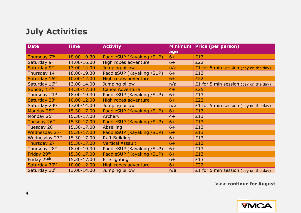# **July Activities**

| <b>Date</b>               | <b>Time</b> | <b>Activity</b>           | age  | <b>Minimum Price (per person)</b>     |
|---------------------------|-------------|---------------------------|------|---------------------------------------|
| Thursday 7 <sup>th</sup>  | 18.00-19.30 | PaddleSUP (Kayaking /SUP) | $6+$ | £13                                   |
| Saturday 9th              | 14.00-16.00 | High ropes adventure      | $6+$ | £22                                   |
| Saturday 9th              | 13.00-14.00 | Jumping pillow            | n/a  | £1 for 5 min session (pay on the day) |
| Thursday 14th             | 18.00-19.30 | PaddleSUP (Kayaking /SUP) | $6+$ | £13                                   |
| Saturday 16th             | 10.00-12.00 | High ropes adventure      | $6+$ | £22                                   |
| Saturday 16th             | 13.00-14.00 | Jumping pillow            | n/a  | £1 for 5 min session (pay on the day) |
| Sunday 17th               | 14.30-17.30 | <b>Canoe Adventure</b>    | $4+$ | £25                                   |
| Thursday 21st             | 18.00-19.30 | PaddleSUP (Kayaking /SUP) | $6+$ | £13                                   |
| Saturday 23rd             | 10.00-12.00 | High ropes adventure      | $6+$ | £22                                   |
| Saturday 23rd             | 13.00-14.00 | Jumping pillow            | n/a  | £1 for 5 min session (pay on the day) |
| Monday 25th               | 15.30-17.00 | PaddleSUP (Kayaking /SUP) | $6+$ | £13                                   |
| Monday 25th               | 15.30-17.00 | <b>Archery</b>            | $4+$ | £13                                   |
| Tuesday 26th              | 15.30-17.00 | PaddleSUP (Kayaking /SUP) | $6+$ | £13                                   |
| Tuesday 26th              | 15.30-17.00 | <b>Abseiling</b>          | $6+$ | £13                                   |
| Wednesday 27th            | 15.30-17.00 | PaddleSUP (Kayaking /SUP) | $6+$ | £13                                   |
| Wednesday 27th            | 15.30-17.00 | <b>Raft Building</b>      | $6+$ | £13                                   |
| Thursday 27th             | 15.30-17.00 | <b>Vertical Assault</b>   | $6+$ | £13                                   |
| Thursday 28 <sup>th</sup> | 18.00-19.30 | PaddleSUP (Kayaking /SUP) | $6+$ | £13                                   |
| Friday 29th               | 15.30-17.00 | PaddleSUP (Kayaking /SUP) | $6+$ | £13                                   |
| Friday 29th               | 15.30-17.00 | Fire lighting             | $6+$ | £13                                   |
| Saturday 30th             | 10.00-12.00 | High ropes adventure      | $6+$ | £22                                   |
| Saturday 30th             | 13.00-14.00 | Jumping pillow            | n/a  | £1 for 5 min session (pay on the day) |

**>>> continue for August**

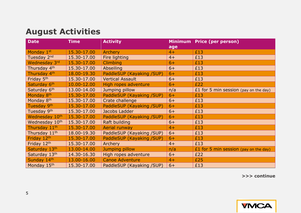## **August Activities**

| <b>Date</b>                | <b>Time</b> | <b>Activity</b>           |      | Minimum Price (per person)            |
|----------------------------|-------------|---------------------------|------|---------------------------------------|
|                            |             |                           | age  |                                       |
| Monday 1st                 | 15.30-17.00 | <b>Archery</b>            | $4+$ | £13                                   |
| Tuesday 2nd                | 15.30-17.00 | Fire lighting             | $4+$ | £13                                   |
| Wednesday 3rd              | 15.30-17.00 | <b>Climbing</b>           | $6+$ | £13                                   |
| Thursday 4th               | 15.30-17.00 | Abseiling                 | $6+$ | £13                                   |
| Thursday 4th               | 18.00-19.30 | PaddleSUP (Kayaking /SUP) | $6+$ | £13                                   |
| Friday 5th                 | 15.30-17.00 | <b>Vertical Assault</b>   | $6+$ | £13                                   |
| Saturday 6th               | 10.00-12.00 | High ropes adventure      | $6+$ | £22                                   |
| Saturday 6th               | 13.00-14.00 | Jumping pillow            | n/a  | £1 for 5 min session (pay on the day) |
| Monday 8 <sup>th</sup>     | 15.30-17.00 | PaddleSUP (Kayaking /SUP) | $6+$ | £13                                   |
| Monday 8 <sup>th</sup>     | 15.30-17.00 | Crate challenge           | $6+$ | £13                                   |
| Tuesday 9 <sup>th</sup>    | 15.30-17.00 | PaddleSUP (Kayaking /SUP) | $6+$ | £13                                   |
| Tuesday 9th                | 15.30-17.00 | Jacobs Ladder             | $6+$ | £13                                   |
| Wednesday 10th             | 15.30-17.00 | PaddleSUP (Kayaking /SUP) | $6+$ | £13                                   |
| Wednesday 10 <sup>th</sup> | 15.30-17.00 | Raft building             | $6+$ | £13                                   |
| Thursday 11th              | 15.30-17.00 | <b>Aerial runway</b>      | $4+$ | £13                                   |
| Thursday 11 <sup>th</sup>  | 18.00-19.30 | PaddleSUP (Kayaking /SUP) | $6+$ | £13                                   |
| Friday 12th                | 15.30-17.00 | PaddleSUP (Kayaking /SUP) | $6+$ | £13                                   |
| Friday 12th                | 15.30-17.00 | Archery                   | $4+$ | £13                                   |
| Saturday 13th              | 13.00-14.00 | Jumping pillow            | n/a  | £1 for 5 min session (pay on the day) |
| Saturday 13th              | 14.30-16.30 | High ropes adventure      | $6+$ | £22                                   |
| Sunday 14th                | 13.00-16.00 | <b>Canoe Adventure</b>    | $4+$ | £25                                   |
| Monday 15th                | 15.30-17.00 | PaddleSUP (Kayaking /SUP) | $6+$ | £13                                   |

**>>> continue**

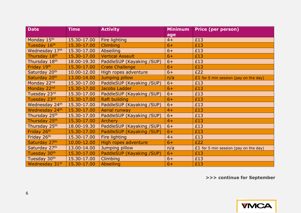| <b>Date</b>               | <b>Time</b> | <b>Activity</b>           | <b>Minimum</b> | <b>Price (per person)</b>               |
|---------------------------|-------------|---------------------------|----------------|-----------------------------------------|
|                           |             |                           | age            |                                         |
| Monday 15th               | 15.30-17.00 | Fire lighting             | $4+$           | £13                                     |
| Tuesday 16th              | 15.30-17.00 | <b>Climbing</b>           | $6+$           | £13                                     |
| Wednesday 17th            | 15.30-17.00 | <b>Abseiling</b>          | $6+$           | £13                                     |
| Thursday 18th             | 15.30-17.00 | <b>Vertical Assault</b>   | $6+$           | £13                                     |
| Thursday 18 <sup>th</sup> | 18.00-19.30 | PaddleSUP (Kayaking /SUP) | $6+$           | £13                                     |
| Friday 19th               | 15.30-17.00 | <b>Crate Challenge</b>    | $6+$           | £13                                     |
| Saturday 20th             | 10.00-12.00 | High ropes adventure      | $6+$           | £22                                     |
| Saturday 20th             | 13.00-14.00 | Jumping pillow            | n/a            | £1 for 5 min session (pay on the day)   |
| Monday 22nd               | 15.30-17.00 | PaddleSUP (Kayaking /SUP) | $6+$           | £13                                     |
| Monday 22nd               | 15.30-17.00 | Jacobs Ladder             | $6+$           | £13                                     |
| Tuesday 23rd              | 15.30-17.00 | PaddleSUP (Kayaking /SUP) | $6+$           | £13                                     |
| Tuesday 23rd              | 15.30-17.00 | <b>Raft building</b>      | $6+$           | £13                                     |
| Wednesday 24th            | 15.30-17.00 | PaddleSUP (Kayaking /SUP) | $6+$           | £13                                     |
| Wednesday 24th            | 15.30-17.00 | Aerial runway             | $4+$           | £13                                     |
| Thursday 25 <sup>th</sup> | 15.30-17.00 | PaddleSUP (Kayaking /SUP) | $6+$           | £13                                     |
| Thursday 25th             | 15.30-17.00 | <b>Archery</b>            | $4+$           | £13                                     |
| Thursday 25th             | 18.00-19.30 | PaddleSUP (Kayaking /SUP) | $6+$           | £13                                     |
| Friday 26th               | 15.30-17.00 | PaddleSUP (Kayaking /SUP) | $6+$           | £13                                     |
| Friday 26th               | 15.30-17.00 | Fire lighting             | $4+$           | £13                                     |
| Saturday 27th             | 10.00-12.00 | High ropes adventure      | $6+$           | £22                                     |
| Saturday 27th             | 13.00-14.00 | Jumping pillow            | n/a            | $£1$ for 5 min session (pay on the day) |
| Tuesday 30th              | 15.30-17.00 | PaddleSUP (Kayaking /SUP) | $6+$           | £13                                     |
| Tuesday 30th              | 15.30-17.00 | Climbing                  | $6+$           | £13                                     |
| Wednesday 31st            | 15.30-17.00 | <b>Abseiling</b>          | $6+$           | £13                                     |

**>>> continue for September**